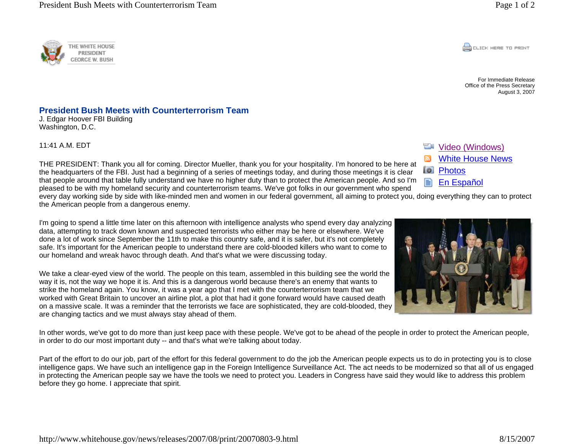**CONCRETE PRINT** 

For Immediate Release Office of the Press Secretary August 3, 2007

## THE PRESIDENT: Thank you all for coming. Director Mueller, thank you for your hospitality. I'm honored to be here at

**President Bush Meets with Counterterrorism Team** 

## **Wideo (Windows)**

- White House NewsN
- Photos
- € En Español

every day working side by side with like-minded men and women in our federal government, all aiming to protect you, doing everything they can to protect the American people from a dangerous enemy.

I'm going to spend a little time later on this afternoon with intelligence analysts who spend every day analyzing data, attempting to track down known and suspected terrorists who either may be here or elsewhere. We've done a lot of work since September the 11th to make this country safe, and it is safer, but it's not completely safe. It's important for the American people to understand there are cold-blooded killers who want to come to our homeland and wreak havoc through death. And that's what we were discussing today.

the headquarters of the FBI. Just had a beginning of a series of meetings today, and during those meetings it is clear that people around that table fully understand we have no higher duty than to protect the American people. And so I'm pleased to be with my homeland security and counterterrorism teams. We've got folks in our government who spend

We take a clear-eyed view of the world. The people on this team, assembled in this building see the world the way it is, not the way we hope it is. And this is a dangerous world because there's an enemy that wants to strike the homeland again. You know, it was a year ago that I met with the counterterrorism team that we worked with Great Britain to uncover an airline plot, a plot that had it gone forward would have caused death on a massive scale. It was a reminder that the terrorists we face are sophisticated, they are cold-blooded, they are changing tactics and we must always stay ahead of them.

In other words, we've got to do more than just keep pace with these people. We've got to be ahead of the people in order to protect the American people, in order to do our most important duty -- and that's what we're talking about today.

Part of the effort to do our job, part of the effort for this federal government to do the job the American people expects us to do in protecting you is to close intelligence gaps. We have such an intelligence gap in the Foreign Intelligence Surveillance Act. The act needs to be modernized so that all of us engaged in protecting the American people say we have the tools we need to protect you. Leaders in Congress have said they would like to address this problem before they go home. I appreciate that spirit.





J. Edgar Hoover FBI Building

Washington, D.C.

11:41 A.M. EDT